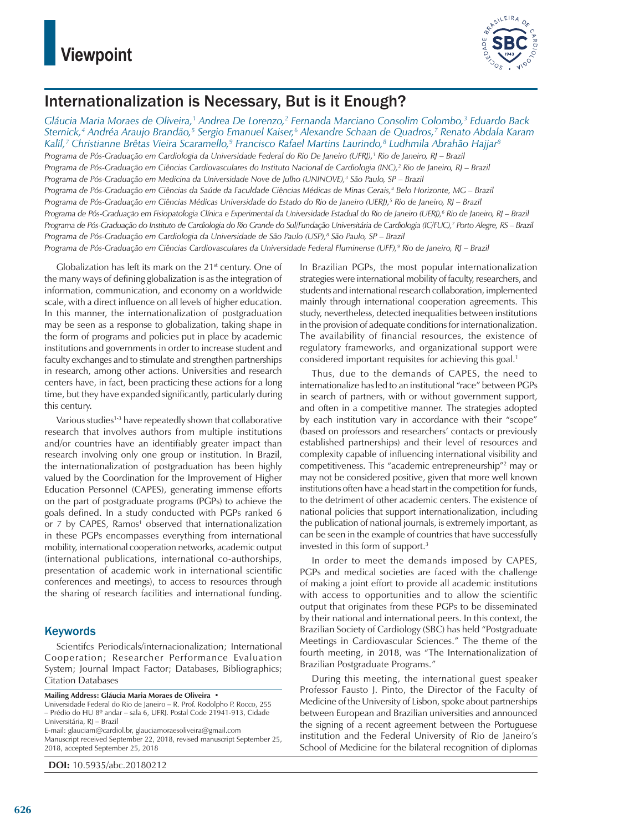

# Internationalization is Necessary, But is it Enough?

*Gláucia Maria Moraes de Oliveira,1 Andrea De Lorenzo,2 Fernanda Marciano Consolim Colombo,3 Eduardo Back Sternick,4 Andréa Araujo Brandão,5 Sergio Emanuel Kaiser,6 Alexandre Schaan de Quadros,7 Renato Abdala Karam Kalil,7 Christianne Brêtas Vieira Scaramello,9 Francisco Rafael Martins Laurindo,8 Ludhmila Abrahão Hajjar8 Programa de Pós-Graduação em Cardiologia da Universidade Federal do Rio De Janeiro (UFRJ),1 Rio de Janeiro, RJ – Brazil* Programa de Pós-Graduação em Ciências Cardiovasculares do Instituto Nacional de Cardiologia (INC),<sup>2</sup> Rio de Janeiro, RJ – Brazil *Programa de Pós-Graduação em Medicina da Universidade Nove de Julho (UNINOVE),3 São Paulo, SP – Brazil Programa de Pós-Graduação em Ciências da Saúde da Faculdade Ciências Médicas de Minas Gerais,4 Belo Horizonte, MG – Brazil* Programa de Pós-Graduação em Ciências Médicas Universidade do Estado do Rio de Janeiro (UERJ),<sup>5</sup> Rio de Janeiro, RJ – Brazil Programa de Pós-Graduação em Fisiopatologia Clínica e Experimental da Universidade Estadual do Rio de Janeiro (UERJ),<sup>6</sup> Rio de Janeiro, RJ – Brazil *Programa de Pós-Graduação do Instituto de Cardiologia do Rio Grande do Sul/Fundação Universitária de Cardiologia (IC/FUC),7 Porto Alegre, RS – Brazil Programa de Pós-Graduação em Cardiologia da Universidade de São Paulo (USP),8 São Paulo, SP – Brazil Programa de Pós-Graduação em Ciências Cardiovasculares da Universidade Federal Fluminense (UFF),9 Rio de Janeiro, RJ – Brazil*

Globalization has left its mark on the  $21<sup>st</sup>$  century. One of the many ways of defining globalization is as the integration of information, communication, and economy on a worldwide scale, with a direct influence on all levels of higher education. In this manner, the internationalization of postgraduation may be seen as a response to globalization, taking shape in the form of programs and policies put in place by academic institutions and governments in order to increase student and faculty exchanges and to stimulate and strengthen partnerships in research, among other actions. Universities and research centers have, in fact, been practicing these actions for a long time, but they have expanded significantly, particularly during this century.

Various studies<sup>1-3</sup> have repeatedly shown that collaborative research that involves authors from multiple institutions and/or countries have an identifiably greater impact than research involving only one group or institution. In Brazil, the internationalization of postgraduation has been highly valued by the Coordination for the Improvement of Higher Education Personnel (CAPES), generating immense efforts on the part of postgraduate programs (PGPs) to achieve the goals defined. In a study conducted with PGPs ranked 6 or 7 by CAPES, Ramos<sup>1</sup> observed that internationalization in these PGPs encompasses everything from international mobility, international cooperation networks, academic output (international publications, international co-authorships, presentation of academic work in international scientific conferences and meetings), to access to resources through the sharing of research facilities and international funding.

## **Keywords**

Scientifcs Periodicals/internacionalization; International Cooperation; Researcher Performance Evaluation System; Journal Impact Factor; Databases, Bibliographics; Citation Databases

**Mailing Address: Gláucia Maria Moraes de Oliveira •**

Universidade Federal do Rio de Janeiro – R. Prof. Rodolpho P. Rocco, 255 – Prédio do HU 8º andar – sala 6, UFRJ. Postal Code 21941-913, Cidade Universitária, RJ – Brazil E-mail: glauciam@cardiol.br, glauciamoraesoliveira@gmail.com

Manuscript received September 22, 2018, revised manuscript September 25, 2018, accepted September 25, 2018

**DOI:** 10.5935/abc.20180212

In Brazilian PGPs, the most popular internationalization strategies were international mobility of faculty, researchers, and students and international research collaboration, implemented mainly through international cooperation agreements. This study, nevertheless, detected inequalities between institutions in the provision of adequate conditions for internationalization. The availability of financial resources, the existence of regulatory frameworks, and organizational support were considered important requisites for achieving this goal.<sup>1</sup>

Thus, due to the demands of CAPES, the need to internationalize has led to an institutional "race" between PGPs in search of partners, with or without government support, and often in a competitive manner. The strategies adopted by each institution vary in accordance with their "scope" (based on professors and researchers' contacts or previously established partnerships) and their level of resources and complexity capable of influencing international visibility and competitiveness. This "academic entrepreneurship"2 may or may not be considered positive, given that more well known institutions often have a head start in the competition for funds, to the detriment of other academic centers. The existence of national policies that support internationalization, including the publication of national journals, is extremely important, as can be seen in the example of countries that have successfully invested in this form of support.3

In order to meet the demands imposed by CAPES, PGPs and medical societies are faced with the challenge of making a joint effort to provide all academic institutions with access to opportunities and to allow the scientific output that originates from these PGPs to be disseminated by their national and international peers. In this context, the Brazilian Society of Cardiology (SBC) has held "Postgraduate Meetings in Cardiovascular Sciences." The theme of the fourth meeting, in 2018, was "The Internationalization of Brazilian Postgraduate Programs."

During this meeting, the international guest speaker Professor Fausto J. Pinto, the Director of the Faculty of Medicine of the University of Lisbon, spoke about partnerships between European and Brazilian universities and announced the signing of a recent agreement between the Portuguese institution and the Federal University of Rio de Janeiro's School of Medicine for the bilateral recognition of diplomas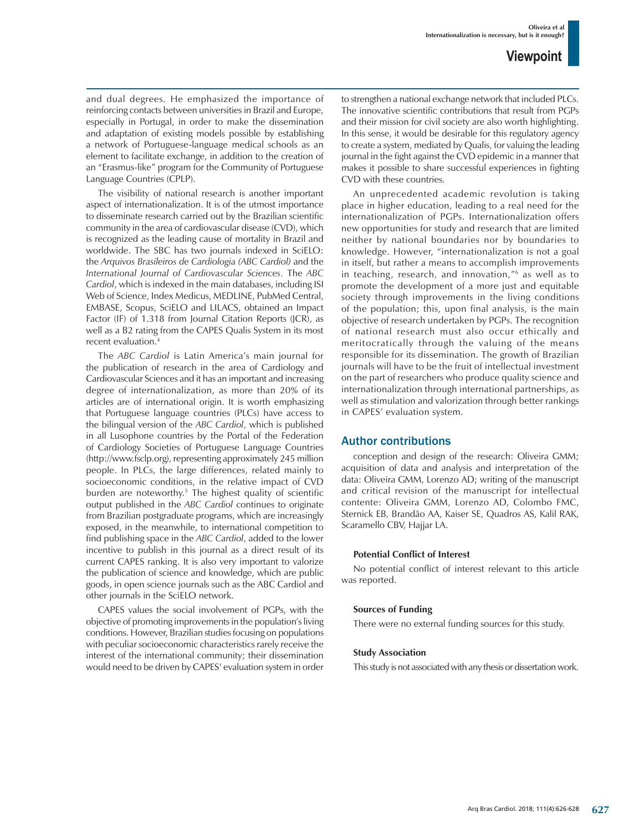and dual degrees. He emphasized the importance of reinforcing contacts between universities in Brazil and Europe, especially in Portugal, in order to make the dissemination and adaptation of existing models possible by establishing a network of Portuguese-language medical schools as an element to facilitate exchange, in addition to the creation of an "Erasmus-like" program for the Community of Portuguese Language Countries (CPLP).

The visibility of national research is another important aspect of internationalization. It is of the utmost importance to disseminate research carried out by the Brazilian scientific community in the area of cardiovascular disease (CVD), which is recognized as the leading cause of mortality in Brazil and worldwide. The SBC has two journals indexed in SciELO: the *Arquivos Brasileiros de Cardiologia (ABC Cardiol)* and the *International Journal of Cardiovascular Sciences.* The *ABC Cardiol*, which is indexed in the main databases, including ISI Web of Science, Index Medicus, MEDLINE, PubMed Central, EMBASE, Scopus, SciELO and LILACS, obtained an Impact Factor (IF) of 1.318 from Journal Citation Reports (JCR), as well as a B2 rating from the CAPES Qualis System in its most recent evaluation.4

The *ABC Cardiol* is Latin America's main journal for the publication of research in the area of Cardiology and Cardiovascular Sciences and it has an important and increasing degree of internationalization, as more than 20% of its articles are of international origin. It is worth emphasizing that Portuguese language countries (PLCs) have access to the bilingual version of the *ABC Cardiol*, which is published in all Lusophone countries by the Portal of the Federation of Cardiology Societies of Portuguese Language Countries (http://www.fsclp.org), representing approximately 245 million people. In PLCs, the large differences, related mainly to socioeconomic conditions, in the relative impact of CVD burden are noteworthy.5 The highest quality of scientific output published in the *ABC Cardiol* continues to originate from Brazilian postgraduate programs, which are increasingly exposed, in the meanwhile, to international competition to find publishing space in the *ABC Cardiol*, added to the lower incentive to publish in this journal as a direct result of its current CAPES ranking. It is also very important to valorize the publication of science and knowledge, which are public goods, in open science journals such as the ABC Cardiol and other journals in the SciELO network.

CAPES values the social involvement of PGPs, with the objective of promoting improvements in the population's living conditions. However, Brazilian studies focusing on populations with peculiar socioeconomic characteristics rarely receive the interest of the international community; their dissemination would need to be driven by CAPES' evaluation system in order to strengthen a national exchange network that included PLCs. The innovative scientific contributions that result from PGPs and their mission for civil society are also worth highlighting. In this sense, it would be desirable for this regulatory agency to create a system, mediated by Qualis, for valuing the leading journal in the fight against the CVD epidemic in a manner that makes it possible to share successful experiences in fighting CVD with these countries.

An unprecedented academic revolution is taking place in higher education, leading to a real need for the internationalization of PGPs. Internationalization offers new opportunities for study and research that are limited neither by national boundaries nor by boundaries to knowledge. However, "internationalization is not a goal in itself, but rather a means to accomplish improvements in teaching, research, and innovation,"6 as well as to promote the development of a more just and equitable society through improvements in the living conditions of the population; this, upon final analysis, is the main objective of research undertaken by PGPs. The recognition of national research must also occur ethically and meritocratically through the valuing of the means responsible for its dissemination. The growth of Brazilian journals will have to be the fruit of intellectual investment on the part of researchers who produce quality science and internationalization through international partnerships, as well as stimulation and valorization through better rankings in CAPES' evaluation system.

## Author contributions

conception and design of the research: Oliveira GMM; acquisition of data and analysis and interpretation of the data: Oliveira GMM, Lorenzo AD; writing of the manuscript and critical revision of the manuscript for intellectual contente: Oliveira GMM, Lorenzo AD, Colombo FMC, Sternick EB, Brandão AA, Kaiser SE, Quadros AS, Kalil RAK, Scaramello CBV, Hajjar LA.

### **Potential Conflict of Interest**

No potential conflict of interest relevant to this article was reported.

#### **Sources of Funding**

There were no external funding sources for this study.

#### **Study Association**

This study is not associated with any thesis or dissertation work.